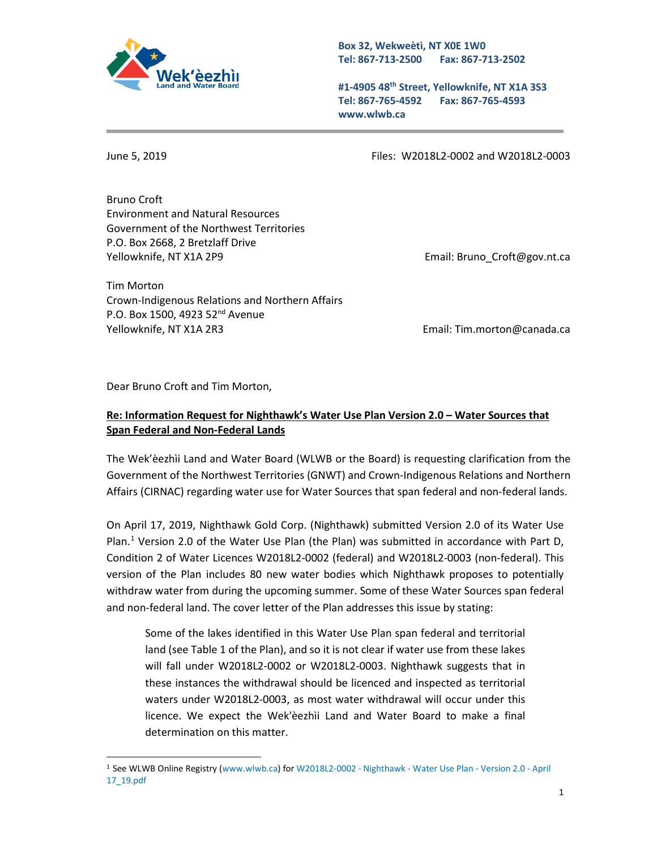

**Box 32, Wekweètì, NT X0E 1W0 Tel: 867-713-2500 Fax: 867-713-2502** 

**#1-4905 48th Street, Yellowknife, NT X1A 3S3 Tel: 867-765-4592 Fax: 867-765-4593 www.wlwb.ca**

<u>.</u>

June 5, 2019 Files: W2018L2-0002 and W2018L2-0003

Bruno Croft Environment and Natural Resources Government of the Northwest Territories P.O. Box 2668, 2 Bretzlaff Drive Yellowknife, NT X1A 2P9 **Email: Bruno** Croft@gov.nt.ca

Tim Morton Crown-Indigenous Relations and Northern Affairs P.O. Box 1500, 4923 52<sup>nd</sup> Avenue Yellowknife, NT X1A 2R3 Email: Tim.morton@canada.ca

Dear Bruno Croft and Tim Morton,

## **Re: Information Request for Nighthawk's Water Use Plan Version 2.0 – Water Sources that Span Federal and Non-Federal Lands**

The Wek'èezhìi Land and Water Board (WLWB or the Board) is requesting clarification from the Government of the Northwest Territories (GNWT) and Crown-Indigenous Relations and Northern Affairs (CIRNAC) regarding water use for Water Sources that span federal and non-federal lands.

On April 17, 2019, Nighthawk Gold Corp. (Nighthawk) submitted Version 2.0 of its Water Use Plan.<sup>[1](#page-0-0)</sup> Version 2.0 of the Water Use Plan (the Plan) was submitted in accordance with Part D, Condition 2 of Water Licences W2018L2-0002 (federal) and W2018L2-0003 (non-federal). This version of the Plan includes 80 new water bodies which Nighthawk proposes to potentially withdraw water from during the upcoming summer. Some of these Water Sources span federal and non-federal land. The cover letter of the Plan addresses this issue by stating:

Some of the lakes identified in this Water Use Plan span federal and territorial land (see Table 1 of the Plan), and so it is not clear if water use from these lakes will fall under W2018L2-0002 or W2018L2-0003. Nighthawk suggests that in these instances the withdrawal should be licenced and inspected as territorial waters under W2018L2-0003, as most water withdrawal will occur under this licence. We expect the Wek'èezhìi Land and Water Board to make a final determination on this matter.

<span id="page-0-0"></span><sup>1</sup> See WLWB Online Registry [\(www.wlwb.ca\)](http://www.wlwb.ca/) fo[r W2018L2-0002 -](http://registry.mvlwb.ca/Documents/W2018L2-0002/W2018L2-0002%20-%20Nighthawk%20-%20Water%20Use%20Plan%20-%20Version%202.0%20-%20April%2017_19.pdf) Nighthawk - Water Use Plan - Version 2.0 - April [17\\_19.pdf](http://registry.mvlwb.ca/Documents/W2018L2-0002/W2018L2-0002%20-%20Nighthawk%20-%20Water%20Use%20Plan%20-%20Version%202.0%20-%20April%2017_19.pdf)